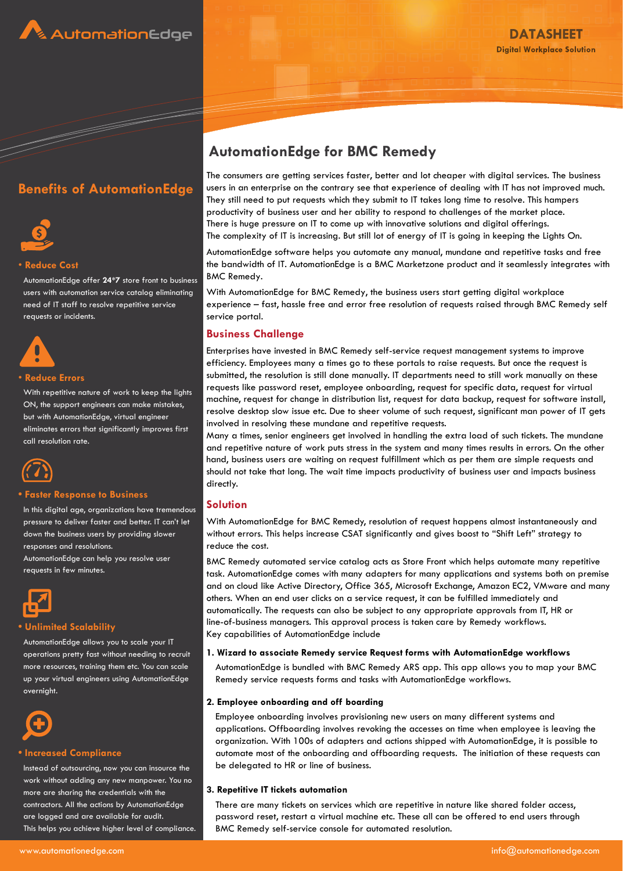





# • **Reduce Cost**

AutomationEdge offer **24\*7** store front to business users with automation service catalog eliminating need of IT staff to resolve repetitive service requests or incidents.



# • **Reduce Errors**

With repetitive nature of work to keep the lights ON, the support engineers can make mistakes, but with AutomationEdge, virtual engineer eliminates errors that significantly improves first call resolution rate.



# **• Faster Response to Business**

In this digital age, organizations have tremendous pressure to deliver faster and better. IT can't let down the business users by providing slower responses and resolutions.

AutomationEdge can help you resolve user requests in few minutes.



# **• Unlimited Scalability**

AutomationEdge allows you to scale your IT operations pretty fast without needing to recruit more resources, training them etc. You can scale up your virtual engineers using AutomationEdge overnight.



# **• Increased Compliance**

Instead of outsourcing, now you can insource the work without adding any new manpower. You no more are sharing the credentials with the contractors. All the actions by AutomationEdge are logged and are available for audit. This helps you achieve higher level of compliance.

# **AutomationEdge for BMC Remedy**

The consumers are getting services faster, better and lot cheaper with digital services. The business users in an enterprise on the contrary see that experience of dealing with IT has not improved much. They still need to put requests which they submit to IT takes long time to resolve. This hampers productivity of business user and her ability to respond to challenges of the market place. There is huge pressure on IT to come up with innovative solutions and digital offerings. The complexity of IT is increasing. But still lot of energy of IT is going in keeping the Lights On.

AutomationEdge software helps you automate any manual, mundane and repetitive tasks and free the bandwidth of IT. AutomationEdge is a BMC Marketzone product and it seamlessly integrates with BMC Remedy.

With AutomationEdge for BMC Remedy, the business users start getting digital workplace experience – fast, hassle free and error free resolution of requests raised through BMC Remedy self service portal.

# **Business Challenge**

Enterprises have invested in BMC Remedy self-service request management systems to improve efficiency. Employees many a times go to these portals to raise requests. But once the request is submitted, the resolution is still done manually. IT departments need to still work manually on these requests like password reset, employee onboarding, request for specific data, request for virtual machine, request for change in distribution list, request for data backup, request for software install, resolve desktop slow issue etc. Due to sheer volume of such request, significant man power of IT gets involved in resolving these mundane and repetitive requests.

Many a times, senior engineers get involved in handling the extra load of such tickets. The mundane and repetitive nature of work puts stress in the system and many times results in errors. On the other hand, business users are waiting on request fulfillment which as per them are simple requests and should not take that long. The wait time impacts productivity of business user and impacts business directly.

# **Solution**

With AutomationEdge for BMC Remedy, resolution of request happens almost instantaneously and without errors. This helps increase CSAT significantly and gives boost to "Shift Left" strategy to reduce the cost.

BMC Remedy automated service catalog acts as Store Front which helps automate many repetitive task. AutomationEdge comes with many adapters for many applications and systems both on premise and on cloud like Active Directory, Office 365, Microsoft Exchange, Amazon EC2, VMware and many others. When an end user clicks on a service request, it can be fulfilled immediately and automatically. The requests can also be subject to any appropriate approvals from IT, HR or line-of-business managers. This approval process is taken care by Remedy workflows. Key capabilities of AutomationEdge include

### **1. Wizard to associate Remedy service Request forms with AutomationEdge workflows**

AutomationEdge is bundled with BMC Remedy ARS app. This app allows you to map your BMC Remedy service requests forms and tasks with AutomationEdge workflows.

### **2. Employee onboarding and off boarding**

Employee onboarding involves provisioning new users on many different systems and applications. Offboarding involves revoking the accesses on time when employee is leaving the organization. With 100s of adapters and actions shipped with AutomationEdge, it is possible to automate most of the onboarding and offboarding requests. The initiation of these requests can be delegated to HR or line of business.

# **3. Repetitive IT tickets automation**

There are many tickets on services which are repetitive in nature like shared folder access, password reset, restart a virtual machine etc. These all can be offered to end users through BMC Remedy self-service console for automated resolution.